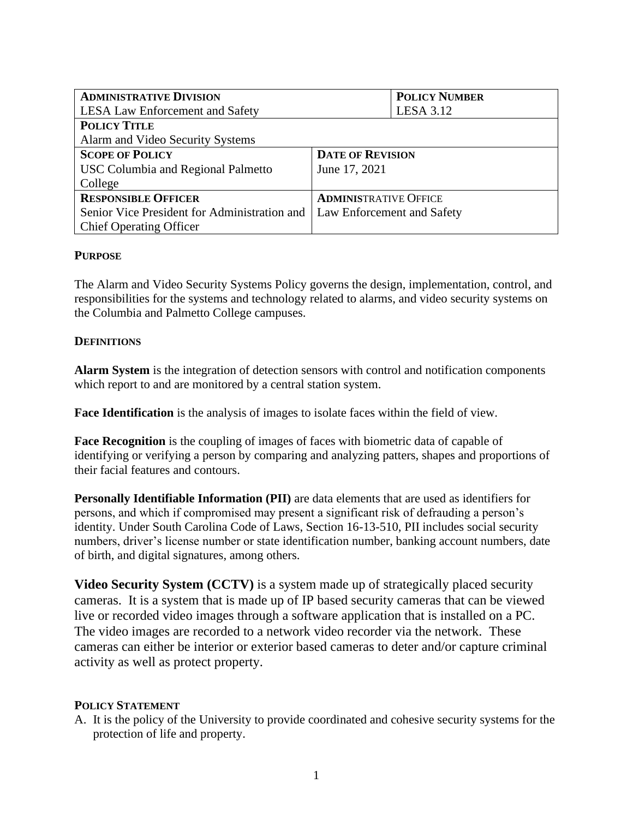| <b>ADMINISTRATIVE DIVISION</b>               |                              | <b>POLICY NUMBER</b> |  |
|----------------------------------------------|------------------------------|----------------------|--|
| <b>LESA Law Enforcement and Safety</b>       |                              | <b>LESA 3.12</b>     |  |
| <b>POLICY TITLE</b>                          |                              |                      |  |
| Alarm and Video Security Systems             |                              |                      |  |
| <b>SCOPE OF POLICY</b>                       | <b>DATE OF REVISION</b>      |                      |  |
| <b>USC Columbia and Regional Palmetto</b>    | June 17, 2021                |                      |  |
| College                                      |                              |                      |  |
| <b>RESPONSIBLE OFFICER</b>                   | <b>ADMINISTRATIVE OFFICE</b> |                      |  |
| Senior Vice President for Administration and | Law Enforcement and Safety   |                      |  |
| <b>Chief Operating Officer</b>               |                              |                      |  |

## **PURPOSE**

The Alarm and Video Security Systems Policy governs the design, implementation, control, and responsibilities for the systems and technology related to alarms, and video security systems on the Columbia and Palmetto College campuses.

#### **DEFINITIONS**

**Alarm System** is the integration of detection sensors with control and notification components which report to and are monitored by a central station system.

**Face Identification** is the analysis of images to isolate faces within the field of view.

**Face Recognition** is the coupling of images of faces with biometric data of capable of identifying or verifying a person by comparing and analyzing patters, shapes and proportions of their facial features and contours.

**Personally Identifiable Information (PII)** are data elements that are used as identifiers for persons, and which if compromised may present a significant risk of defrauding a person's identity. Under South Carolina Code of Laws, Section 16-13-510, PII includes social security numbers, driver's license number or state identification number, banking account numbers, date of birth, and digital signatures, among others.

**Video Security System (CCTV)** is a system made up of strategically placed security cameras. It is a system that is made up of IP based security cameras that can be viewed live or recorded video images through a software application that is installed on a PC. The video images are recorded to a network video recorder via the network. These cameras can either be interior or exterior based cameras to deter and/or capture criminal activity as well as protect property.

#### **POLICY STATEMENT**

A. It is the policy of the University to provide coordinated and cohesive security systems for the protection of life and property.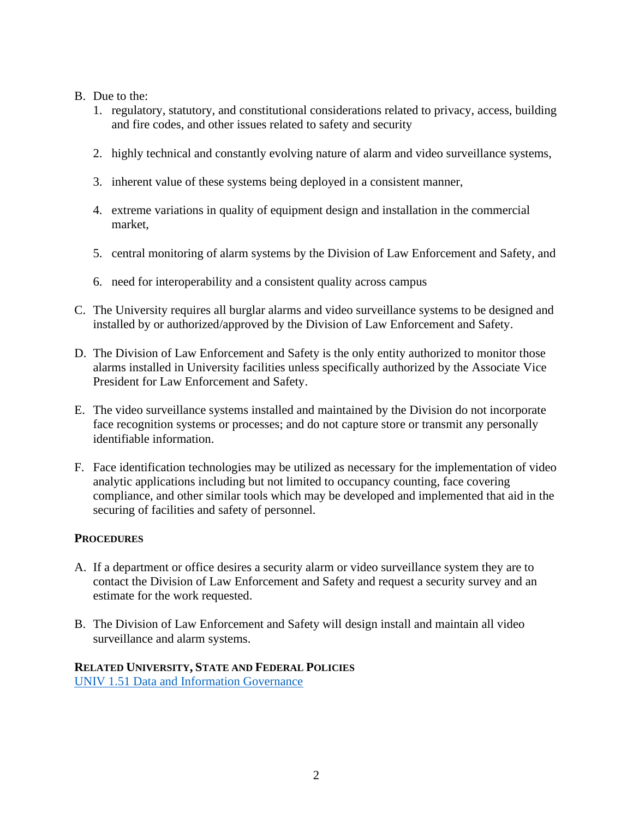## B. Due to the:

- 1. regulatory, statutory, and constitutional considerations related to privacy, access, building and fire codes, and other issues related to safety and security
- 2. highly technical and constantly evolving nature of alarm and video surveillance systems,
- 3. inherent value of these systems being deployed in a consistent manner,
- 4. extreme variations in quality of equipment design and installation in the commercial market,
- 5. central monitoring of alarm systems by the Division of Law Enforcement and Safety, and
- 6. need for interoperability and a consistent quality across campus
- C. The University requires all burglar alarms and video surveillance systems to be designed and installed by or authorized/approved by the Division of Law Enforcement and Safety.
- D. The Division of Law Enforcement and Safety is the only entity authorized to monitor those alarms installed in University facilities unless specifically authorized by the Associate Vice President for Law Enforcement and Safety.
- E. The video surveillance systems installed and maintained by the Division do not incorporate face recognition systems or processes; and do not capture store or transmit any personally identifiable information.
- F. Face identification technologies may be utilized as necessary for the implementation of video analytic applications including but not limited to occupancy counting, face covering compliance, and other similar tools which may be developed and implemented that aid in the securing of facilities and safety of personnel.

#### **PROCEDURES**

- A. If a department or office desires a security alarm or video surveillance system they are to contact the Division of Law Enforcement and Safety and request a security survey and an estimate for the work requested.
- B. The Division of Law Enforcement and Safety will design install and maintain all video surveillance and alarm systems.

# **RELATED UNIVERSITY, STATE AND FEDERAL POLICIES**  [UNIV 1.51 Data and Information Governance](http://sc.edu/policies/ppm/univ151.pdf)